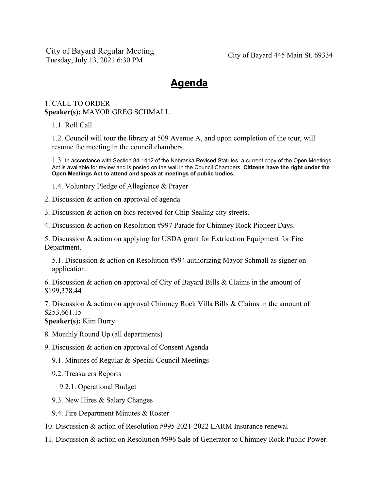City of Bayard Regular Meeting Tuesday, July 13, 2021 6:30 PM City of Bayard 445 Main St. 69334

## **Agenda**

## 1. CALL TO ORDER **Speaker(s):** MAYOR GREG SCHMALL

1.1. Roll Call

1.2. Council will tour the library at 509 Avenue A, and upon completion of the tour, will resume the meeting in the council chambers.

1.3. In accordance with Section 84-1412 of the Nebraska Revised Statutes, a current copy of the Open Meetings Act is available for review and is posted on the wall in the Council Chambers. **Citizens have the right under the Open Meetings Act to attend and speak at meetings of public bodies.**

1.4. Voluntary Pledge of Allegiance & Prayer

- 2. Discussion & action on approval of agenda
- 3. Discussion & action on bids received for Chip Sealing city streets.
- 4. Discussion & action on Resolution #997 Parade for Chimney Rock Pioneer Days.

5. Discussion & action on applying for USDA grant for Extrication Equipment for Fire Department.

5.1. Discussion & action on Resolution #994 authorizing Mayor Schmall as signer on application.

6. Discussion & action on approval of City of Bayard Bills & Claims in the amount of \$199,378.44

7. Discussion & action on approval Chimney Rock Villa Bills & Claims in the amount of \$253,661.15

**Speaker(s):** Kim Burry

8. Monthly Round Up (all departments)

9. Discussion & action on approval of Consent Agenda

9.1. Minutes of Regular & Special Council Meetings

9.2. Treasurers Reports

9.2.1. Operational Budget

- 9.3. New Hires & Salary Changes
- 9.4. Fire Department Minutes & Roster
- 10. Discussion & action of Resolution #995 2021-2022 LARM Insurance renewal
- 11. Discussion & action on Resolution #996 Sale of Generator to Chimney Rock Public Power.